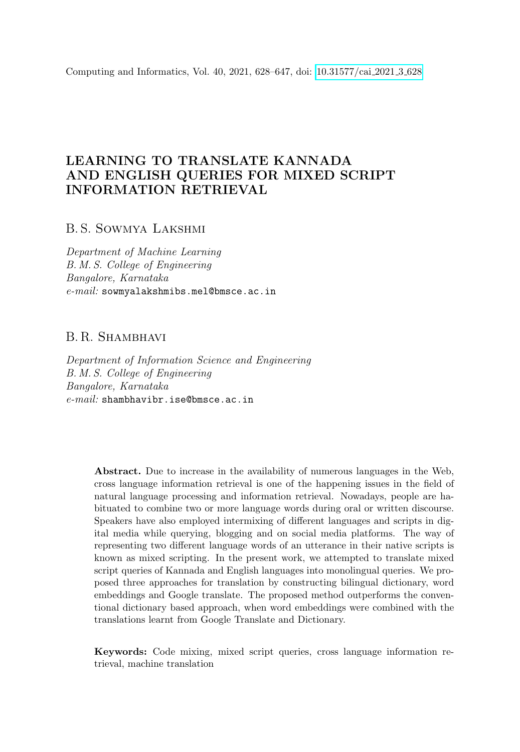Computing and Informatics, Vol. 40, 2021, 628–647, doi: [10.31577/cai](https://doi.org/10.31577/cai_2021_3_628) 2021 3 628

# LEARNING TO TRANSLATE KANNADA AND ENGLISH QUERIES FOR MIXED SCRIPT INFORMATION RETRIEVAL

# B. S. Sowmya Lakshmi

Department of Machine Learning B. M. S. College of Engineering Bangalore, Karnataka e-mail: sowmyalakshmibs.mel@bmsce.ac.in

# B. R. Shambhavi

Department of Information Science and Engineering B. M. S. College of Engineering Bangalore, Karnataka e-mail: shambhavibr.ise@bmsce.ac.in

> Abstract. Due to increase in the availability of numerous languages in the Web, cross language information retrieval is one of the happening issues in the field of natural language processing and information retrieval. Nowadays, people are habituated to combine two or more language words during oral or written discourse. Speakers have also employed intermixing of different languages and scripts in digital media while querying, blogging and on social media platforms. The way of representing two different language words of an utterance in their native scripts is known as mixed scripting. In the present work, we attempted to translate mixed script queries of Kannada and English languages into monolingual queries. We proposed three approaches for translation by constructing bilingual dictionary, word embeddings and Google translate. The proposed method outperforms the conventional dictionary based approach, when word embeddings were combined with the translations learnt from Google Translate and Dictionary.

> Keywords: Code mixing, mixed script queries, cross language information retrieval, machine translation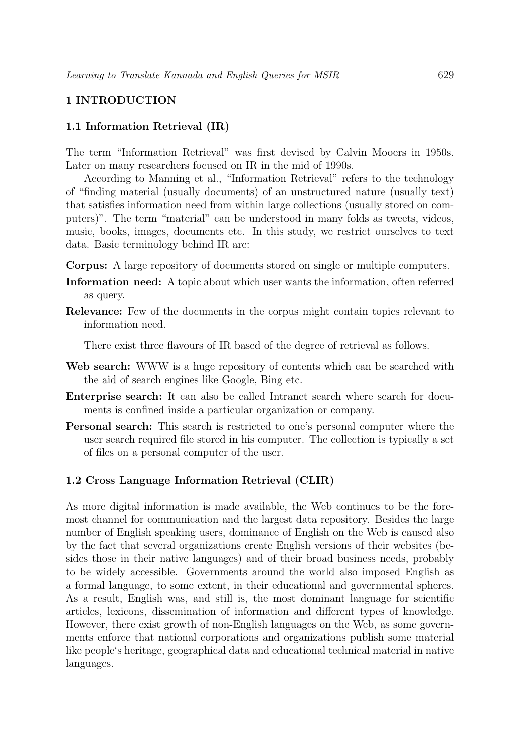# 1 INTRODUCTION

# 1.1 Information Retrieval (IR)

The term "Information Retrieval" was first devised by Calvin Mooers in 1950s. Later on many researchers focused on IR in the mid of 1990s.

According to Manning et al., "Information Retrieval" refers to the technology of "finding material (usually documents) of an unstructured nature (usually text) that satisfies information need from within large collections (usually stored on computers)". The term "material" can be understood in many folds as tweets, videos, music, books, images, documents etc. In this study, we restrict ourselves to text data. Basic terminology behind IR are:

Corpus: A large repository of documents stored on single or multiple computers.

- Information need: A topic about which user wants the information, often referred as query.
- Relevance: Few of the documents in the corpus might contain topics relevant to information need.

There exist three flavours of IR based of the degree of retrieval as follows.

- Web search: WWW is a huge repository of contents which can be searched with the aid of search engines like Google, Bing etc.
- Enterprise search: It can also be called Intranet search where search for documents is confined inside a particular organization or company.
- Personal search: This search is restricted to one's personal computer where the user search required file stored in his computer. The collection is typically a set of files on a personal computer of the user.

#### 1.2 Cross Language Information Retrieval (CLIR)

As more digital information is made available, the Web continues to be the foremost channel for communication and the largest data repository. Besides the large number of English speaking users, dominance of English on the Web is caused also by the fact that several organizations create English versions of their websites (besides those in their native languages) and of their broad business needs, probably to be widely accessible. Governments around the world also imposed English as a formal language, to some extent, in their educational and governmental spheres. As a result, English was, and still is, the most dominant language for scientific articles, lexicons, dissemination of information and different types of knowledge. However, there exist growth of non-English languages on the Web, as some governments enforce that national corporations and organizations publish some material like people's heritage, geographical data and educational technical material in native languages.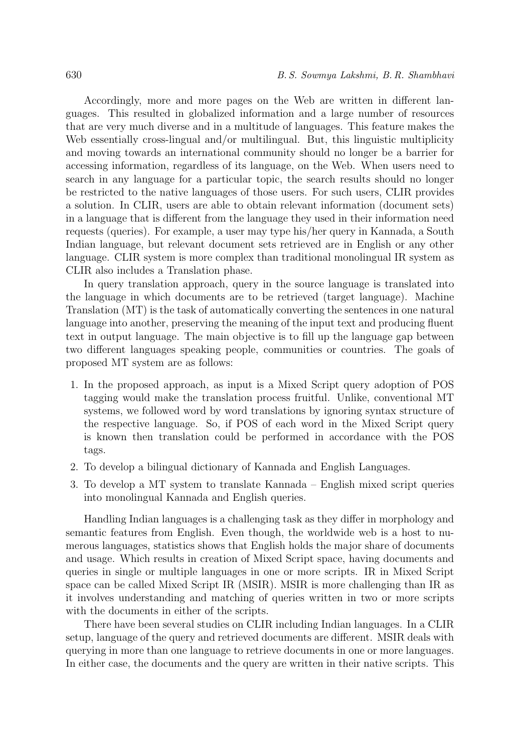Accordingly, more and more pages on the Web are written in different languages. This resulted in globalized information and a large number of resources that are very much diverse and in a multitude of languages. This feature makes the Web essentially cross-lingual and/or multilingual. But, this linguistic multiplicity and moving towards an international community should no longer be a barrier for accessing information, regardless of its language, on the Web. When users need to search in any language for a particular topic, the search results should no longer be restricted to the native languages of those users. For such users, CLIR provides a solution. In CLIR, users are able to obtain relevant information (document sets) in a language that is different from the language they used in their information need requests (queries). For example, a user may type his/her query in Kannada, a South Indian language, but relevant document sets retrieved are in English or any other language. CLIR system is more complex than traditional monolingual IR system as CLIR also includes a Translation phase.

In query translation approach, query in the source language is translated into the language in which documents are to be retrieved (target language). Machine Translation (MT) is the task of automatically converting the sentences in one natural language into another, preserving the meaning of the input text and producing fluent text in output language. The main objective is to fill up the language gap between two different languages speaking people, communities or countries. The goals of proposed MT system are as follows:

- 1. In the proposed approach, as input is a Mixed Script query adoption of POS tagging would make the translation process fruitful. Unlike, conventional MT systems, we followed word by word translations by ignoring syntax structure of the respective language. So, if POS of each word in the Mixed Script query is known then translation could be performed in accordance with the POS tags.
- 2. To develop a bilingual dictionary of Kannada and English Languages.
- 3. To develop a MT system to translate Kannada English mixed script queries into monolingual Kannada and English queries.

Handling Indian languages is a challenging task as they differ in morphology and semantic features from English. Even though, the worldwide web is a host to numerous languages, statistics shows that English holds the major share of documents and usage. Which results in creation of Mixed Script space, having documents and queries in single or multiple languages in one or more scripts. IR in Mixed Script space can be called Mixed Script IR (MSIR). MSIR is more challenging than IR as it involves understanding and matching of queries written in two or more scripts with the documents in either of the scripts.

There have been several studies on CLIR including Indian languages. In a CLIR setup, language of the query and retrieved documents are different. MSIR deals with querying in more than one language to retrieve documents in one or more languages. In either case, the documents and the query are written in their native scripts. This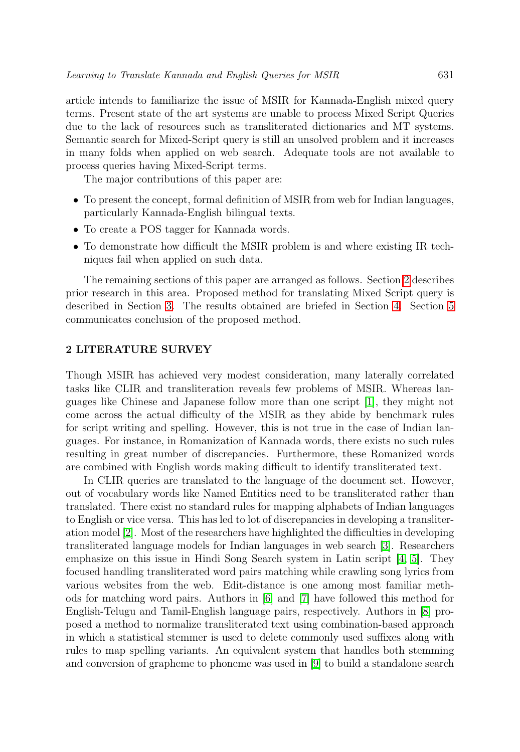article intends to familiarize the issue of MSIR for Kannada-English mixed query terms. Present state of the art systems are unable to process Mixed Script Queries due to the lack of resources such as transliterated dictionaries and MT systems. Semantic search for Mixed-Script query is still an unsolved problem and it increases in many folds when applied on web search. Adequate tools are not available to process queries having Mixed-Script terms.

The major contributions of this paper are:

- To present the concept, formal definition of MSIR from web for Indian languages, particularly Kannada-English bilingual texts.
- To create a POS tagger for Kannada words.
- To demonstrate how difficult the MSIR problem is and where existing IR techniques fail when applied on such data.

The remaining sections of this paper are arranged as follows. Section [2](#page-3-0) describes prior research in this area. Proposed method for translating Mixed Script query is described in Section [3.](#page-5-0) The results obtained are briefed in Section [4.](#page-10-0) Section [5](#page-15-0) communicates conclusion of the proposed method.

### <span id="page-3-0"></span>2 LITERATURE SURVEY

Though MSIR has achieved very modest consideration, many laterally correlated tasks like CLIR and transliteration reveals few problems of MSIR. Whereas languages like Chinese and Japanese follow more than one script [\[1\]](#page-16-0), they might not come across the actual difficulty of the MSIR as they abide by benchmark rules for script writing and spelling. However, this is not true in the case of Indian languages. For instance, in Romanization of Kannada words, there exists no such rules resulting in great number of discrepancies. Furthermore, these Romanized words are combined with English words making difficult to identify transliterated text.

In CLIR queries are translated to the language of the document set. However, out of vocabulary words like Named Entities need to be transliterated rather than translated. There exist no standard rules for mapping alphabets of Indian languages to English or vice versa. This has led to lot of discrepancies in developing a transliteration model [\[2\]](#page-16-1). Most of the researchers have highlighted the difficulties in developing transliterated language models for Indian languages in web search [\[3\]](#page-16-2). Researchers emphasize on this issue in Hindi Song Search system in Latin script [\[4,](#page-16-3) [5\]](#page-16-4). They focused handling transliterated word pairs matching while crawling song lyrics from various websites from the web. Edit-distance is one among most familiar methods for matching word pairs. Authors in [\[6\]](#page-17-0) and [\[7\]](#page-17-1) have followed this method for English-Telugu and Tamil-English language pairs, respectively. Authors in [\[8\]](#page-17-2) proposed a method to normalize transliterated text using combination-based approach in which a statistical stemmer is used to delete commonly used suffixes along with rules to map spelling variants. An equivalent system that handles both stemming and conversion of grapheme to phoneme was used in [\[9\]](#page-17-3) to build a standalone search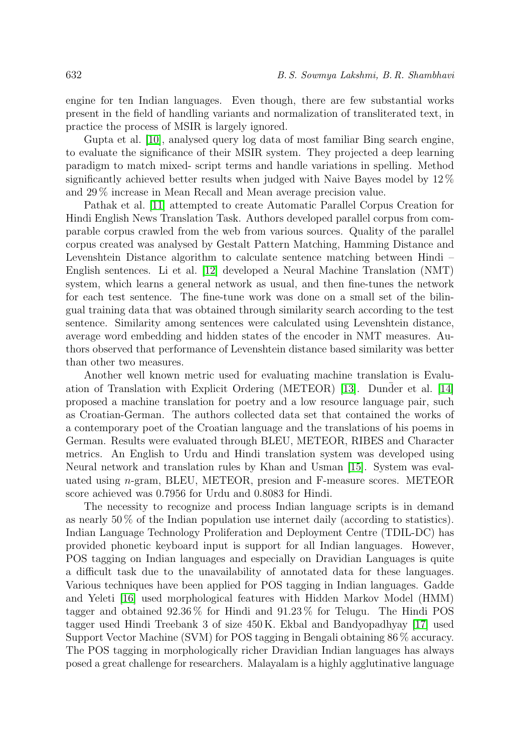engine for ten Indian languages. Even though, there are few substantial works present in the field of handling variants and normalization of transliterated text, in practice the process of MSIR is largely ignored.

Gupta et al. [\[10\]](#page-17-4), analysed query log data of most familiar Bing search engine, to evaluate the significance of their MSIR system. They projected a deep learning paradigm to match mixed- script terms and handle variations in spelling. Method significantly achieved better results when judged with Naive Bayes model by 12 % and 29 % increase in Mean Recall and Mean average precision value.

Pathak et al. [\[11\]](#page-17-5) attempted to create Automatic Parallel Corpus Creation for Hindi English News Translation Task. Authors developed parallel corpus from comparable corpus crawled from the web from various sources. Quality of the parallel corpus created was analysed by Gestalt Pattern Matching, Hamming Distance and Levenshtein Distance algorithm to calculate sentence matching between Hindi – English sentences. Li et al. [\[12\]](#page-17-6) developed a Neural Machine Translation (NMT) system, which learns a general network as usual, and then fine-tunes the network for each test sentence. The fine-tune work was done on a small set of the bilingual training data that was obtained through similarity search according to the test sentence. Similarity among sentences were calculated using Levenshtein distance, average word embedding and hidden states of the encoder in NMT measures. Authors observed that performance of Levenshtein distance based similarity was better than other two measures.

Another well known metric used for evaluating machine translation is Evalu-ation of Translation with Explicit Ordering (METEOR) [\[13\]](#page-17-7). Dunder et al.  $[14]$ proposed a machine translation for poetry and a low resource language pair, such as Croatian-German. The authors collected data set that contained the works of a contemporary poet of the Croatian language and the translations of his poems in German. Results were evaluated through BLEU, METEOR, RIBES and Character metrics. An English to Urdu and Hindi translation system was developed using Neural network and translation rules by Khan and Usman [\[15\]](#page-17-9). System was evaluated using n-gram, BLEU, METEOR, presion and F-measure scores. METEOR score achieved was 0.7956 for Urdu and 0.8083 for Hindi.

The necessity to recognize and process Indian language scripts is in demand as nearly 50 % of the Indian population use internet daily (according to statistics). Indian Language Technology Proliferation and Deployment Centre (TDIL-DC) has provided phonetic keyboard input is support for all Indian languages. However, POS tagging on Indian languages and especially on Dravidian Languages is quite a difficult task due to the unavailability of annotated data for these languages. Various techniques have been applied for POS tagging in Indian languages. Gadde and Yeleti [\[16\]](#page-17-10) used morphological features with Hidden Markov Model (HMM) tagger and obtained 92.36 % for Hindi and 91.23 % for Telugu. The Hindi POS tagger used Hindi Treebank 3 of size 450 K. Ekbal and Bandyopadhyay [\[17\]](#page-18-0) used Support Vector Machine (SVM) for POS tagging in Bengali obtaining 86 % accuracy. The POS tagging in morphologically richer Dravidian Indian languages has always posed a great challenge for researchers. Malayalam is a highly agglutinative language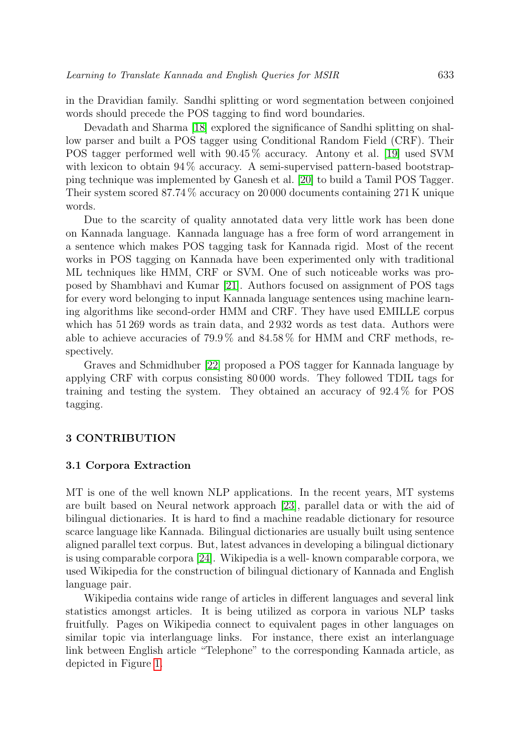in the Dravidian family. Sandhi splitting or word segmentation between conjoined words should precede the POS tagging to find word boundaries.

Devadath and Sharma [\[18\]](#page-18-1) explored the significance of Sandhi splitting on shallow parser and built a POS tagger using Conditional Random Field (CRF). Their POS tagger performed well with 90.45 % accuracy. Antony et al. [\[19\]](#page-18-2) used SVM with lexicon to obtain  $94\%$  accuracy. A semi-supervised pattern-based bootstrapping technique was implemented by Ganesh et al. [\[20\]](#page-18-3) to build a Tamil POS Tagger. Their system scored 87.74 % accuracy on 20 000 documents containing 271 K unique words.

Due to the scarcity of quality annotated data very little work has been done on Kannada language. Kannada language has a free form of word arrangement in a sentence which makes POS tagging task for Kannada rigid. Most of the recent works in POS tagging on Kannada have been experimented only with traditional ML techniques like HMM, CRF or SVM. One of such noticeable works was proposed by Shambhavi and Kumar [\[21\]](#page-18-4). Authors focused on assignment of POS tags for every word belonging to input Kannada language sentences using machine learning algorithms like second-order HMM and CRF. They have used EMILLE corpus which has 51 269 words as train data, and 2 932 words as test data. Authors were able to achieve accuracies of 79.9 % and 84.58 % for HMM and CRF methods, respectively.

Graves and Schmidhuber [\[22\]](#page-18-5) proposed a POS tagger for Kannada language by applying CRF with corpus consisting 80 000 words. They followed TDIL tags for training and testing the system. They obtained an accuracy of 92.4 % for POS tagging.

# <span id="page-5-0"></span>3 CONTRIBUTION

#### 3.1 Corpora Extraction

MT is one of the well known NLP applications. In the recent years, MT systems are built based on Neural network approach [\[23\]](#page-18-6), parallel data or with the aid of bilingual dictionaries. It is hard to find a machine readable dictionary for resource scarce language like Kannada. Bilingual dictionaries are usually built using sentence aligned parallel text corpus. But, latest advances in developing a bilingual dictionary is using comparable corpora [\[24\]](#page-18-7). Wikipedia is a well- known comparable corpora, we used Wikipedia for the construction of bilingual dictionary of Kannada and English language pair.

Wikipedia contains wide range of articles in different languages and several link statistics amongst articles. It is being utilized as corpora in various NLP tasks fruitfully. Pages on Wikipedia connect to equivalent pages in other languages on similar topic via interlanguage links. For instance, there exist an interlanguage link between English article "Telephone" to the corresponding Kannada article, as depicted in Figure [1.](#page-6-0)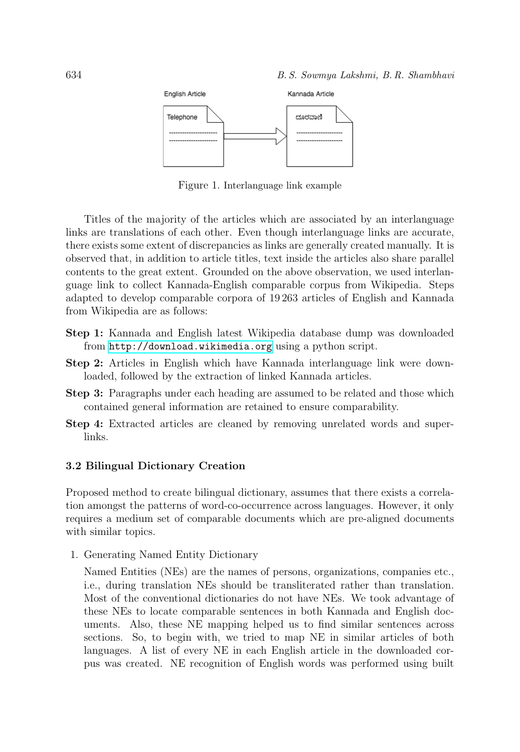

<span id="page-6-0"></span>Figure 1. Interlanguage link example

Titles of the majority of the articles which are associated by an interlanguage links are translations of each other. Even though interlanguage links are accurate, there exists some extent of discrepancies as links are generally created manually. It is observed that, in addition to article titles, text inside the articles also share parallel contents to the great extent. Grounded on the above observation, we used interlanguage link to collect Kannada-English comparable corpus from Wikipedia. Steps adapted to develop comparable corpora of 19 263 articles of English and Kannada from Wikipedia are as follows:

- Step 1: Kannada and English latest Wikipedia database dump was downloaded from <http://download.wikimedia.org> using a python script.
- Step 2: Articles in English which have Kannada interlanguage link were downloaded, followed by the extraction of linked Kannada articles.
- Step 3: Paragraphs under each heading are assumed to be related and those which contained general information are retained to ensure comparability.
- Step 4: Extracted articles are cleaned by removing unrelated words and superlinks.

# 3.2 Bilingual Dictionary Creation

Proposed method to create bilingual dictionary, assumes that there exists a correlation amongst the patterns of word-co-occurrence across languages. However, it only requires a medium set of comparable documents which are pre-aligned documents with similar topics.

1. Generating Named Entity Dictionary

Named Entities (NEs) are the names of persons, organizations, companies etc., i.e., during translation NEs should be transliterated rather than translation. Most of the conventional dictionaries do not have NEs. We took advantage of these NEs to locate comparable sentences in both Kannada and English documents. Also, these NE mapping helped us to find similar sentences across sections. So, to begin with, we tried to map NE in similar articles of both languages. A list of every NE in each English article in the downloaded corpus was created. NE recognition of English words was performed using built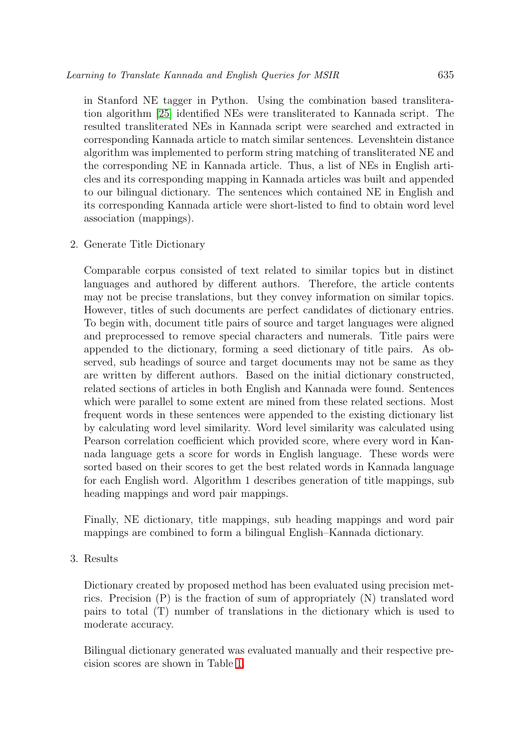in Stanford NE tagger in Python. Using the combination based transliteration algorithm [\[25\]](#page-18-8) identified NEs were transliterated to Kannada script. The resulted transliterated NEs in Kannada script were searched and extracted in corresponding Kannada article to match similar sentences. Levenshtein distance algorithm was implemented to perform string matching of transliterated NE and the corresponding NE in Kannada article. Thus, a list of NEs in English articles and its corresponding mapping in Kannada articles was built and appended to our bilingual dictionary. The sentences which contained NE in English and its corresponding Kannada article were short-listed to find to obtain word level association (mappings).

2. Generate Title Dictionary

Comparable corpus consisted of text related to similar topics but in distinct languages and authored by different authors. Therefore, the article contents may not be precise translations, but they convey information on similar topics. However, titles of such documents are perfect candidates of dictionary entries. To begin with, document title pairs of source and target languages were aligned and preprocessed to remove special characters and numerals. Title pairs were appended to the dictionary, forming a seed dictionary of title pairs. As observed, sub headings of source and target documents may not be same as they are written by different authors. Based on the initial dictionary constructed, related sections of articles in both English and Kannada were found. Sentences which were parallel to some extent are mined from these related sections. Most frequent words in these sentences were appended to the existing dictionary list by calculating word level similarity. Word level similarity was calculated using Pearson correlation coefficient which provided score, where every word in Kannada language gets a score for words in English language. These words were sorted based on their scores to get the best related words in Kannada language for each English word. Algorithm 1 describes generation of title mappings, sub heading mappings and word pair mappings.

Finally, NE dictionary, title mappings, sub heading mappings and word pair mappings are combined to form a bilingual English–Kannada dictionary.

3. Results

Dictionary created by proposed method has been evaluated using precision metrics. Precision (P) is the fraction of sum of appropriately (N) translated word pairs to total (T) number of translations in the dictionary which is used to moderate accuracy.

Bilingual dictionary generated was evaluated manually and their respective precision scores are shown in Table [1.](#page-8-0)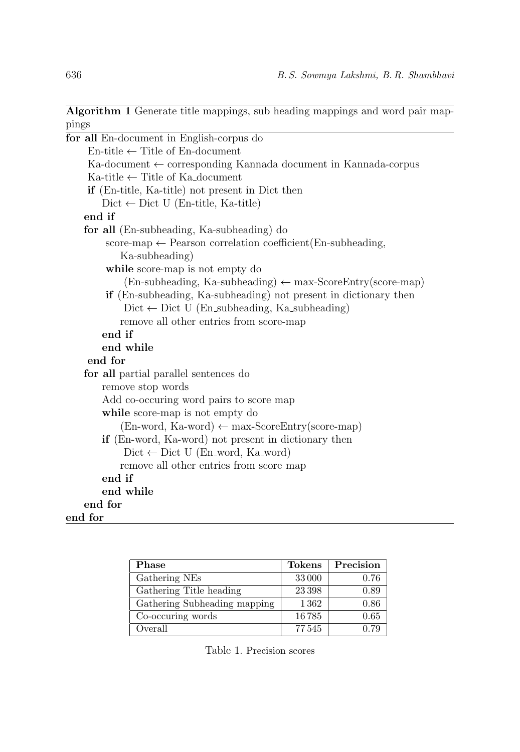Algorithm 1 Generate title mappings, sub heading mappings and word pair mappings

| for all En-document in English-corpus do                                         |
|----------------------------------------------------------------------------------|
| $En$ -title $\leftarrow$ Title of En-document                                    |
| $Ka\text{-}document \leftarrow corresponding$ Kannada document in Kannada-corpus |
| $Ka\text{-title} \leftarrow$ Title of Ka_document                                |
| <b>if</b> (En-title, Ka-title) not present in Dict then                          |
| $Dict \leftarrow Dict$ U (En-title, Ka-title)                                    |
| end if                                                                           |
| for all (En-subheading, Ka-subheading) do                                        |
| score-map $\leftarrow$ Pearson correlation coefficient (En-subheading,           |
| Ka-subheading)                                                                   |
| while score-map is not empty do                                                  |
| $(En-subheading, Ka-subheading) \leftarrow max-ScoreEntry(score-map)$            |
| <b>if</b> (En-subheading, Ka-subheading) not present in dictionary then          |
| $Dict \leftarrow Dict \cup (En\_subheading, Ka\_subheading)$                     |
| remove all other entries from score-map                                          |
| end if                                                                           |
| end while                                                                        |
| end for                                                                          |
| for all partial parallel sentences do                                            |
| remove stop words                                                                |
| Add co-occuring word pairs to score map                                          |
| while score-map is not empty do                                                  |
| $(En-word, Ka-word) \leftarrow max-ScoreEntry(score-map)$                        |
| <b>if</b> (En-word, Ka-word) not present in dictionary then                      |
| $Dict \leftarrow Dict$ U (En_word, Ka_word)                                      |
| remove all other entries from score_map                                          |
| end if                                                                           |
| end while                                                                        |
| end for                                                                          |
| end for                                                                          |

| Phase                        | <b>Tokens</b> | Precision |
|------------------------------|---------------|-----------|
| Gathering NEs                | 33000         | 0.76      |
| Gathering Title heading      | 23398         | 0.89      |
| Gathering Subheading mapping | 1362          | 0.86      |
| Co-occuring words            | 16785         | 0.65      |
| Overall                      | 77545         | 0.79      |

<span id="page-8-0"></span>Table 1. Precision scores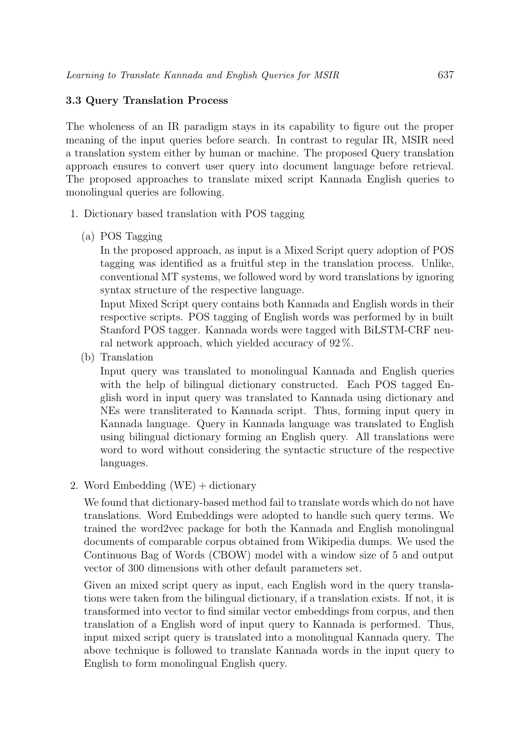# 3.3 Query Translation Process

The wholeness of an IR paradigm stays in its capability to figure out the proper meaning of the input queries before search. In contrast to regular IR, MSIR need a translation system either by human or machine. The proposed Query translation approach ensures to convert user query into document language before retrieval. The proposed approaches to translate mixed script Kannada English queries to monolingual queries are following.

- 1. Dictionary based translation with POS tagging
	- (a) POS Tagging

In the proposed approach, as input is a Mixed Script query adoption of POS tagging was identified as a fruitful step in the translation process. Unlike, conventional MT systems, we followed word by word translations by ignoring syntax structure of the respective language.

Input Mixed Script query contains both Kannada and English words in their respective scripts. POS tagging of English words was performed by in built Stanford POS tagger. Kannada words were tagged with BiLSTM-CRF neural network approach, which yielded accuracy of 92 %.

(b) Translation

Input query was translated to monolingual Kannada and English queries with the help of bilingual dictionary constructed. Each POS tagged English word in input query was translated to Kannada using dictionary and NEs were transliterated to Kannada script. Thus, forming input query in Kannada language. Query in Kannada language was translated to English using bilingual dictionary forming an English query. All translations were word to word without considering the syntactic structure of the respective languages.

2. Word Embedding  $(WE) +$  dictionary

We found that dictionary-based method fail to translate words which do not have translations. Word Embeddings were adopted to handle such query terms. We trained the word2vec package for both the Kannada and English monolingual documents of comparable corpus obtained from Wikipedia dumps. We used the Continuous Bag of Words (CBOW) model with a window size of 5 and output vector of 300 dimensions with other default parameters set.

Given an mixed script query as input, each English word in the query translations were taken from the bilingual dictionary, if a translation exists. If not, it is transformed into vector to find similar vector embeddings from corpus, and then translation of a English word of input query to Kannada is performed. Thus, input mixed script query is translated into a monolingual Kannada query. The above technique is followed to translate Kannada words in the input query to English to form monolingual English query.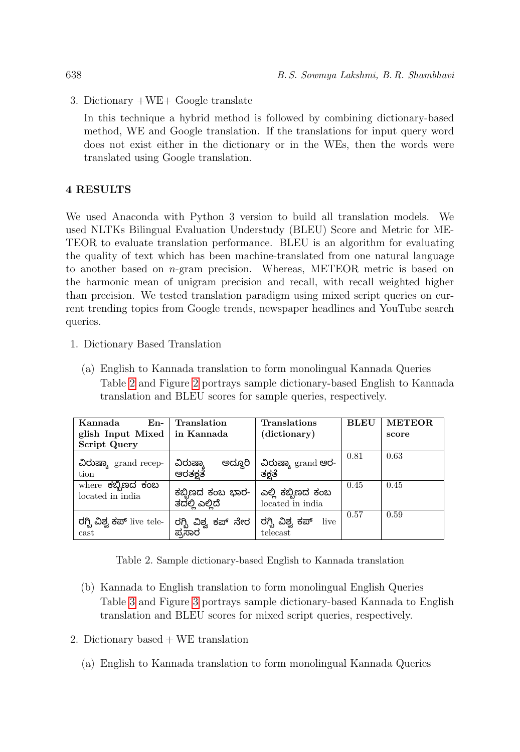3. Dictionary +WE+ Google translate

In this technique a hybrid method is followed by combining dictionary-based method, WE and Google translation. If the translations for input query word does not exist either in the dictionary or in the WEs, then the words were translated using Google translation.

# <span id="page-10-0"></span>4 RESULTS

We used Anaconda with Python 3 version to build all translation models. We used NLTKs Bilingual Evaluation Understudy (BLEU) Score and Metric for ME-TEOR to evaluate translation performance. BLEU is an algorithm for evaluating the quality of text which has been machine-translated from one natural language to another based on  $n$ -gram precision. Whereas, METEOR metric is based on the harmonic mean of unigram precision and recall, with recall weighted higher than precision. We tested translation paradigm using mixed script queries on current trending topics from Google trends, newspaper headlines and YouTube search queries.

- 1. Dictionary Based Translation
	- (a) English to Kannada translation to form monolingual Kannada Queries Table [2](#page-10-1) and Figure [2](#page-11-0) portrays sample dictionary-based English to Kannada translation and BLEU scores for sample queries, respectively.

| Kannada<br>En-                        | Translation                        | Translations                          | BLEU | <b>METEOR</b> |
|---------------------------------------|------------------------------------|---------------------------------------|------|---------------|
| glish Input Mixed                     | in Kannada                         | (dictionary)                          |      | score         |
| <b>Script Query</b>                   |                                    |                                       |      |               |
| ವಿರುಷ್ಕಾ grand recep-<br>tion         | ಅದ್ದೂರಿ<br>ವಿರುಷ್ಕಾ<br>ಆರತಕ್ಷತೆ    | ವಿರುಷ್ಕಾ grand ಆರ-<br>ತಕ್ಷತೆ          | 0.81 | 0.63          |
| where ಕಬ್ಬಿಣದ ಕಂಬ<br>located in india | ಕಬ್ಬಿಣದ ಕಂಬ ಭಾರ-<br>ತದಲ್ಲಿ ಎಲ್ಲಿದೆ | ಎಲ್ಲಿ ಕಬ್ಬಿಣದ ಕಂಬ<br>located in india | 0.45 | 0.45          |
| ರಗ್ಬಿ ವಿಶ್ವ ಕಪ್ live tele-<br>cast    | ರಗ್ಬಿ ವಿಶ್ವ ಕಪ್ ನೇರ<br>ಪ್ರಸಾರ      | ರಗ್ಬಿ ವಿಶ್ವ ಕಪ್<br>live<br>telecast   | 0.57 | 0.59          |

<span id="page-10-1"></span>Table 2. Sample dictionary-based English to Kannada translation

- (b) Kannada to English translation to form monolingual English Queries Table [3](#page-11-1) and Figure [3](#page-12-0) portrays sample dictionary-based Kannada to English translation and BLEU scores for mixed script queries, respectively.
- 2. Dictionary based  $+$  WE translation
	- (a) English to Kannada translation to form monolingual Kannada Queries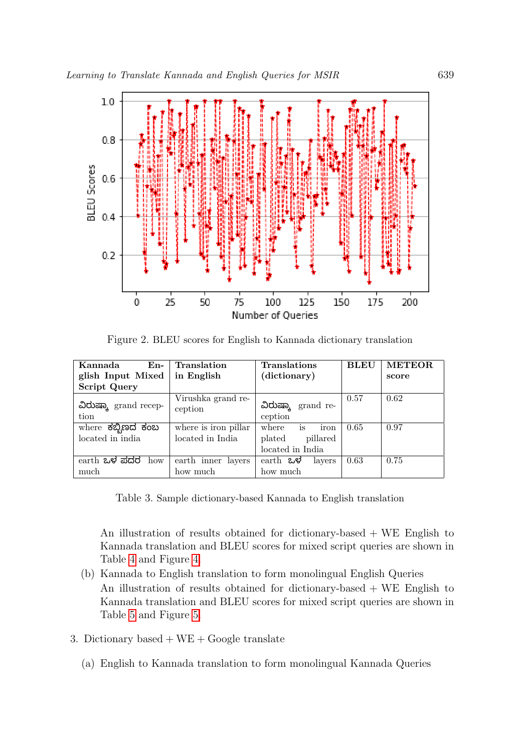

<span id="page-11-0"></span>Figure 2. BLEU scores for English to Kannada dictionary translation

| Kannada<br>En-                | Translation                   | <b>Translations</b>           | <b>BLEU</b> | <b>METEOR</b> |
|-------------------------------|-------------------------------|-------------------------------|-------------|---------------|
| glish Input Mixed             | in English                    | (dictionary)                  |             | score         |
| <b>Script Query</b>           |                               |                               |             |               |
| ವಿರುಷ್ಕಾ grand recep-<br>tion | Virushka grand re-<br>ception | ವಿರುಷ್ಕಾ grand re-<br>ception | 0.57        | 0.62          |
| where ಕಬ್ಬಿಣದ ಕಂಬ             | where is iron pillar          | iron<br>is<br>where           | 0.65        | 0.97          |
| located in india              | located in India              | plated<br>pillared            |             |               |
|                               |                               | located in India              |             |               |
| earth ಒಳ ಪದರ how              | earth inner layers            | earth ಒಳ<br>layers            | 0.63        | 0.75          |
| much                          | how much                      | how much                      |             |               |

<span id="page-11-1"></span>Table 3. Sample dictionary-based Kannada to English translation

An illustration of results obtained for dictionary-based + WE English to Kannada translation and BLEU scores for mixed script queries are shown in Table [4](#page-12-1) and Figure [4.](#page-13-0)

- (b) Kannada to English translation to form monolingual English Queries An illustration of results obtained for dictionary-based + WE English to Kannada translation and BLEU scores for mixed script queries are shown in Table [5](#page-12-2) and Figure [5.](#page-13-1)
- 3. Dictionary based  $+ WE + Google$  translate
	- (a) English to Kannada translation to form monolingual Kannada Queries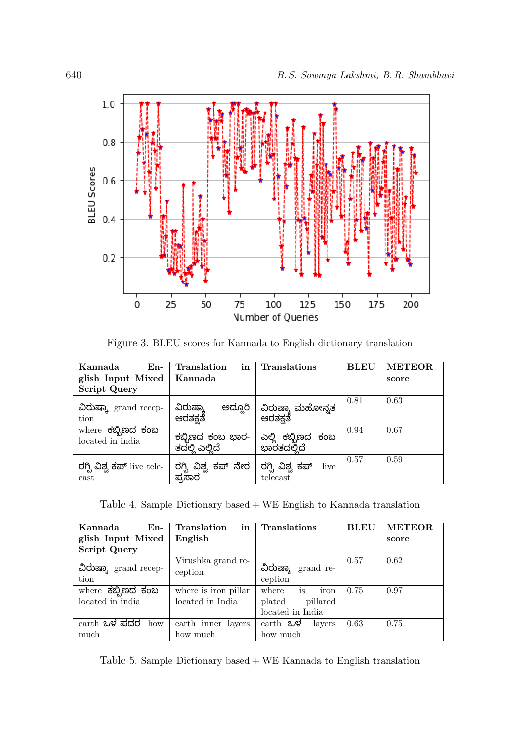

<span id="page-12-0"></span>Figure 3. BLEU scores for Kannada to English dictionary translation

| Kannada<br>En-                        | Translation<br>in                  | <b>Translations</b>                 | BLEU | <b>METEOR</b> |
|---------------------------------------|------------------------------------|-------------------------------------|------|---------------|
| glish Input Mixed                     | Kannada                            |                                     |      | score         |
| <b>Script Query</b>                   |                                    |                                     |      |               |
| ವಿರುಷ್ಕಾ grand recep-<br>tion         | ಅದ್ದೂರಿ<br>ವಿರುಷ್ಕಾ<br>ಆರತಕ್ಷತೆ    | ವಿರುಷ್ಕಾ ಮಹೋನ್ನತ<br>ಆರತಕತೆ          | 0.81 | 0.63          |
| where ಕಬ್ಬಿಣದ ಕಂಬ<br>located in india | ಕಬ್ಬಿಣದ ಕಂಬ ಭಾರ-<br>ತದಲ್ಲಿ ಎಲ್ಲಿದೆ | ಎಲ್ಲಿ ಕಬ್ಬಿಣದ ಕಂಬ<br>ಭಾರತದಲ್ಲಿದೆ    | 0.94 | 0.67          |
| ರಗ್ಬಿ ವಿಶ್ವ ಕಪ್ live tele-<br>cast    | ರಗ್ಬಿ ವಿಶ್ವ ಕಪ್ ನೇರ<br>ಪ್ರಸಾರ      | ರಗ್ಬಿ ವಿಶ್ವ ಕಪ್<br>live<br>telecast | 0.57 | 0.59          |

<span id="page-12-1"></span>Table 4. Sample Dictionary based + WE English to Kannada translation

| Kannada<br>En-                | in<br>Translation             | <b>Translations</b>           | <b>BLEU</b> | <b>METEOR</b> |
|-------------------------------|-------------------------------|-------------------------------|-------------|---------------|
| glish Input Mixed             | English                       |                               |             | score         |
| <b>Script Query</b>           |                               |                               |             |               |
| ವಿರುಷ್ಕಾ grand recep-<br>tion | Virushka grand re-<br>ception | ವಿರುಷ್ಕಾ grand re-<br>ception | 0.57        | 0.62          |
| where ಕಬ್ಬಿಣದ ಕಂಬ             | where is iron pillar          | iron<br>is<br>where           | 0.75        | 0.97          |
| located in india              | located in India              | plated<br>pillared            |             |               |
|                               |                               | located in India              |             |               |
| $\epsilon$ earth ಒಳ ಪದರ how   | earth inner<br>layers         | earth ಒಳ<br>layers            | 0.63        | 0.75          |
| much                          | how much                      | how much                      |             |               |

<span id="page-12-2"></span>Table 5. Sample Dictionary based + WE Kannada to English translation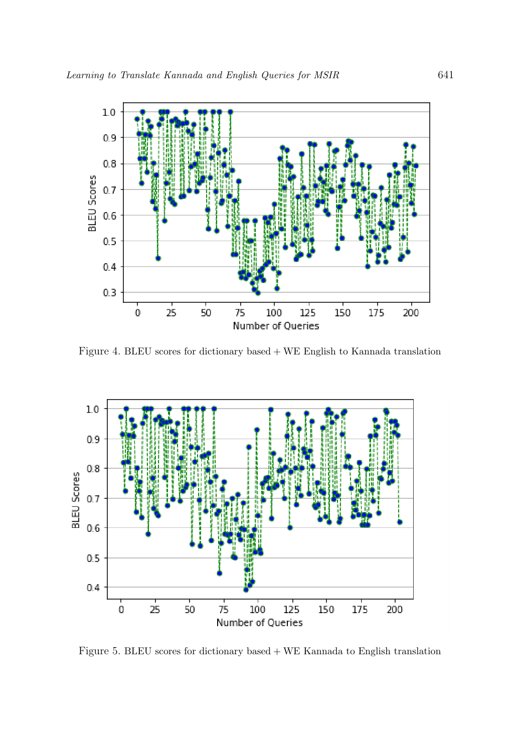

<span id="page-13-0"></span>Figure 4. BLEU scores for dictionary based + WE English to Kannada translation



<span id="page-13-1"></span>Figure 5. BLEU scores for dictionary based + WE Kannada to English translation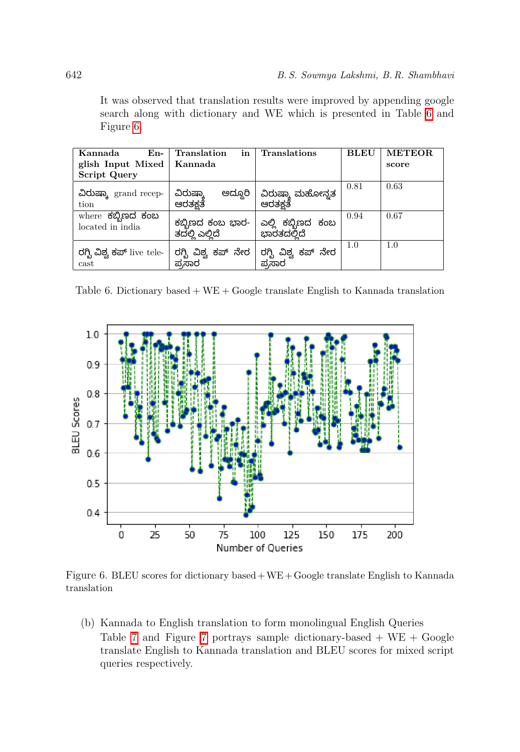It was observed that translation results were improved by appending google search along with dictionary and WE which is presented in Table [6](#page-14-0) and Figure [6.](#page-14-1)

| Kannada<br>$En-$                      | in<br>Translation                  | <b>Translations</b>              | BLEU | <b>METEOR</b> |
|---------------------------------------|------------------------------------|----------------------------------|------|---------------|
| glish Input Mixed                     | Kannada                            |                                  |      | score         |
| <b>Script Query</b>                   |                                    |                                  |      |               |
| ವಿರುಷ್ಕಾ grand recep-<br>tion         | ಅದ್ದೂರಿ<br>ವಿರುಷ್ಕಾ<br>ಆರತಕ್ಷತೆ    | ವಿರುಷ್ಕಾ ಮಹೋನ್ನತ<br>ಆರತಕ್ಷತೆ     | 0.81 | 0.63          |
| where ಕಬ್ಬಿಣದ ಕಂಬ<br>located in india | ಕಬ್ಬಿಣದ ಕಂಬ ಭಾರ-<br>ತದಲ್ಲಿ ಎಲ್ಲಿದೆ | ಎಲ್ಲಿ ಕಬ್ಬಿಣದ ಕಂಬ<br>ಭಾರತದಲ್ಲಿದೆ | 0.94 | 0.67          |
| ರಗ್ಬಿ ವಿಶ್ವ ಕಪ್ live tele-<br>cast    | ರಗ್ಬಿ ವಿಶ್ವ ಕಪ್ ನೇರ<br>ಪ್ರಸಾರ      | ರಗ್ಬಿ ವಿಶ್ವ ಕಪ್ ನೇರ<br>ಪ್ರಸಾರ    | 1.0  | 1.0           |

<span id="page-14-0"></span>Table 6. Dictionary based  $+$  WE  $+$  Google translate English to Kannada translation



Figure 6. BLEU scores for dictionary based+WE+Google translate English to Kannada translation

<span id="page-14-1"></span>(b) Kannada to English translation to form monolingual English Queries Table [7](#page-15-2) and Figure 7 portrays sample dictionary-based  $+ WE + Google$ translate English to Kannada translation and BLEU scores for mixed script queries respectively.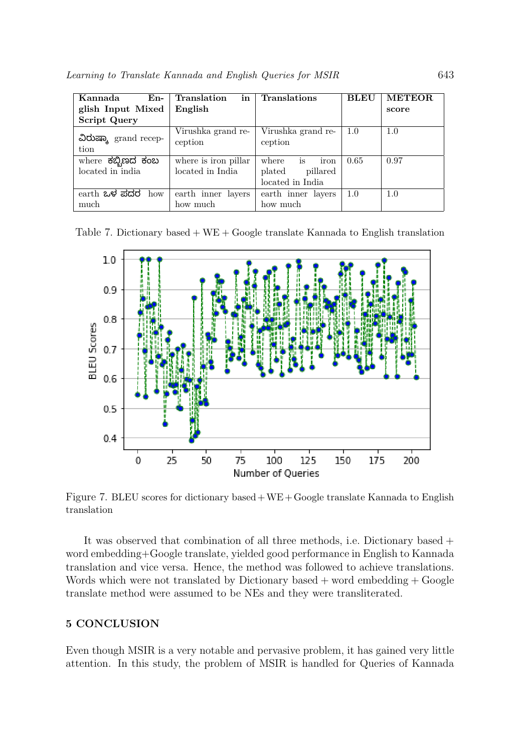| Kannada<br>$En-$                      | Translation<br>in                        | <b>Translations</b>                                           | <b>BLEU</b> | <b>METEOR</b> |
|---------------------------------------|------------------------------------------|---------------------------------------------------------------|-------------|---------------|
| glish Input Mixed                     | English                                  |                                                               |             | score         |
| <b>Script Query</b>                   |                                          |                                                               |             |               |
| ವಿರುಷ್ಕಾ grand recep-<br>tion         | Virushka grand re-<br>ception            | Virushka grand re-<br>ception                                 | 1.0         | 1.0           |
| where ಕಬ್ಬಿಣದ ಕಂಬ<br>located in india | where is iron pillar<br>located in India | iron<br>where<br>is<br>plated<br>pillared<br>located in India | 0.65        | 0.97          |
| earth ಒಳ ಪದರ how<br>much              | earth inner layers<br>how much           | earth inner layers<br>how much                                | 1.0         | 1.0           |

Table 7. Dictionary based  $+ WE + Google$  translate Kannada to English translation

<span id="page-15-1"></span>

<span id="page-15-2"></span>Figure 7. BLEU scores for dictionary based+WE+Google translate Kannada to English translation

It was observed that combination of all three methods, i.e. Dictionary based + word embedding+Google translate, yielded good performance in English to Kannada translation and vice versa. Hence, the method was followed to achieve translations. Words which were not translated by Dictionary based  $+$  word embedding  $+$  Google translate method were assumed to be NEs and they were transliterated.

### <span id="page-15-0"></span>5 CONCLUSION

Even though MSIR is a very notable and pervasive problem, it has gained very little attention. In this study, the problem of MSIR is handled for Queries of Kannada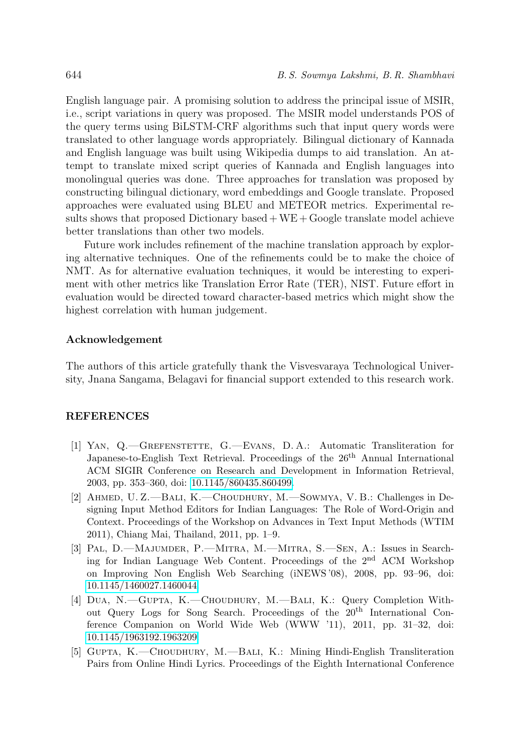English language pair. A promising solution to address the principal issue of MSIR, i.e., script variations in query was proposed. The MSIR model understands POS of the query terms using BiLSTM-CRF algorithms such that input query words were translated to other language words appropriately. Bilingual dictionary of Kannada and English language was built using Wikipedia dumps to aid translation. An attempt to translate mixed script queries of Kannada and English languages into monolingual queries was done. Three approaches for translation was proposed by constructing bilingual dictionary, word embeddings and Google translate. Proposed approaches were evaluated using BLEU and METEOR metrics. Experimental results shows that proposed Dictionary based  $+WE + Google$  translate model achieve better translations than other two models.

Future work includes refinement of the machine translation approach by exploring alternative techniques. One of the refinements could be to make the choice of NMT. As for alternative evaluation techniques, it would be interesting to experiment with other metrics like Translation Error Rate (TER), NIST. Future effort in evaluation would be directed toward character-based metrics which might show the highest correlation with human judgement.

### Acknowledgement

The authors of this article gratefully thank the Visvesvaraya Technological University, Jnana Sangama, Belagavi for financial support extended to this research work.

### REFERENCES

- <span id="page-16-0"></span>[1] Yan, Q.—Grefenstette, G.—Evans, D. A.: Automatic Transliteration for Japanese-to-English Text Retrieval. Proceedings of the  $26<sup>th</sup>$  Annual International ACM SIGIR Conference on Research and Development in Information Retrieval, 2003, pp. 353–360, doi: [10.1145/860435.860499.](https://doi.org/10.1145/860435.860499)
- <span id="page-16-1"></span>[2] Ahmed, U. Z.—Bali, K.—Choudhury, M.—Sowmya, V. B.: Challenges in Designing Input Method Editors for Indian Languages: The Role of Word-Origin and Context. Proceedings of the Workshop on Advances in Text Input Methods (WTIM 2011), Chiang Mai, Thailand, 2011, pp. 1–9.
- <span id="page-16-2"></span>[3] Pal, D.—Majumder, P.—Mitra, M.—Mitra, S.—Sen, A.: Issues in Searching for Indian Language Web Content. Proceedings of the 2nd ACM Workshop on Improving Non English Web Searching (iNEWS '08), 2008, pp. 93–96, doi: [10.1145/1460027.1460044.](https://doi.org/10.1145/1460027.1460044)
- <span id="page-16-3"></span>[4] Dua, N.—Gupta, K.—Choudhury, M.—Bali, K.: Query Completion Without Query Logs for Song Search. Proceedings of the 20th International Conference Companion on World Wide Web (WWW '11), 2011, pp. 31–32, doi: [10.1145/1963192.1963209.](https://doi.org/10.1145/1963192.1963209)
- <span id="page-16-4"></span>[5] GUPTA, K.—CHOUDHURY, M.—BALI, K.: Mining Hindi-English Transliteration Pairs from Online Hindi Lyrics. Proceedings of the Eighth International Conference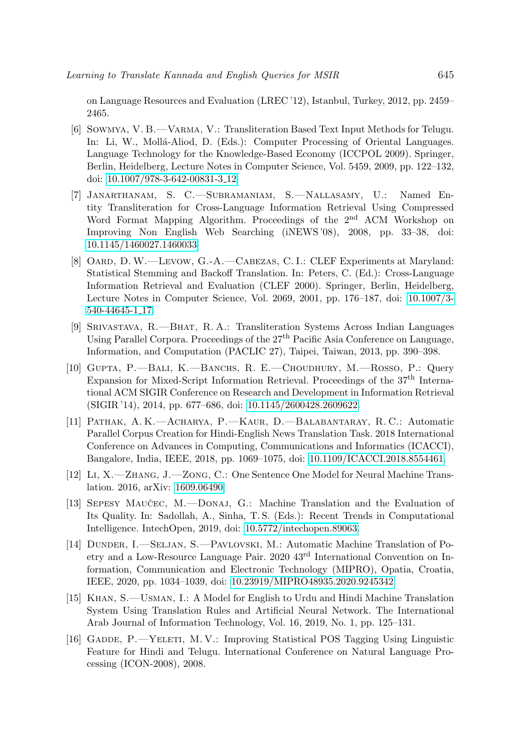on Language Resources and Evaluation (LREC '12), Istanbul, Turkey, 2012, pp. 2459– 2465.

- <span id="page-17-0"></span>[6] Sowmya, V. B.—Varma, V.: Transliteration Based Text Input Methods for Telugu. In: Li, W., Mollá-Aliod, D. (Eds.): Computer Processing of Oriental Languages. Language Technology for the Knowledge-Based Economy (ICCPOL 2009). Springer, Berlin, Heidelberg, Lecture Notes in Computer Science, Vol. 5459, 2009, pp. 122–132, doi: [10.1007/978-3-642-00831-3](https://doi.org/10.1007/978-3-642-00831-3_12) 12.
- <span id="page-17-1"></span>[7] Janarthanam, S. C.—Subramaniam, S.—Nallasamy, U.: Named Entity Transliteration for Cross-Language Information Retrieval Using Compressed Word Format Mapping Algorithm. Proceedings of the 2<sup>nd</sup> ACM Workshop on Improving Non English Web Searching (iNEWS '08), 2008, pp. 33–38, doi: [10.1145/1460027.1460033.](https://doi.org/10.1145/1460027.1460033)
- <span id="page-17-2"></span>[8] OARD, D.W.—LEVOW, G.-A.—CABEZAS, C.I.: CLEF Experiments at Maryland: Statistical Stemming and Backoff Translation. In: Peters, C. (Ed.): Cross-Language Information Retrieval and Evaluation (CLEF 2000). Springer, Berlin, Heidelberg, Lecture Notes in Computer Science, Vol. 2069, 2001, pp. 176–187, doi: [10.1007/3-](https://doi.org/10.1007/3-540-44645-1_17) [540-44645-1](https://doi.org/10.1007/3-540-44645-1_17) 17.
- <span id="page-17-3"></span>[9] Srivastava, R.—Bhat, R. A.: Transliteration Systems Across Indian Languages Using Parallel Corpora. Proceedings of the 27th Pacific Asia Conference on Language, Information, and Computation (PACLIC 27), Taipei, Taiwan, 2013, pp. 390–398.
- <span id="page-17-4"></span>[10] Gupta, P.—Bali, K.—Banchs, R. E.—Choudhury, M.—Rosso, P.: Query Expansion for Mixed-Script Information Retrieval. Proceedings of the  $37<sup>th</sup>$  International ACM SIGIR Conference on Research and Development in Information Retrieval (SIGIR '14), 2014, pp. 677–686, doi: [10.1145/2600428.2609622.](https://doi.org/10.1145/2600428.2609622)
- <span id="page-17-5"></span>[11] Pathak, A. K.—Acharya, P.—Kaur, D.—Balabantaray, R. C.: Automatic Parallel Corpus Creation for Hindi-English News Translation Task. 2018 International Conference on Advances in Computing, Communications and Informatics (ICACCI), Bangalore, India, IEEE, 2018, pp. 1069–1075, doi: [10.1109/ICACCI.2018.8554461.](https://doi.org/10.1109/ICACCI.2018.8554461)
- <span id="page-17-6"></span>[12] Li, X.—Zhang, J.—Zong, C.: One Sentence One Model for Neural Machine Translation. 2016, arXiv: [1609.06490.](http://arxiv.org/abs/1609.06490)
- <span id="page-17-7"></span>[13] SEPESY MAUCEC, M.—DONAJ, G.: Machine Translation and the Evaluation of Its Quality. In: Sadollah, A., Sinha, T. S. (Eds.): Recent Trends in Computational Intelligence. IntechOpen, 2019, doi: [10.5772/intechopen.89063.](https://doi.org/10.5772/intechopen.89063)
- <span id="page-17-8"></span>[14] Dunder, I.—Seljan, S.—Pavlovski, M.: Automatic Machine Translation of Poetry and a Low-Resource Language Pair. 2020 43rd International Convention on Information, Communication and Electronic Technology (MIPRO), Opatia, Croatia, IEEE, 2020, pp. 1034–1039, doi: [10.23919/MIPRO48935.2020.9245342.](https://doi.org/10.23919/MIPRO48935.2020.9245342)
- <span id="page-17-9"></span>[15] Khan, S.—Usman, I.: A Model for English to Urdu and Hindi Machine Translation System Using Translation Rules and Artificial Neural Network. The International Arab Journal of Information Technology, Vol. 16, 2019, No. 1, pp. 125–131.
- <span id="page-17-10"></span>[16] Gadde, P.—Yeleti, M. V.: Improving Statistical POS Tagging Using Linguistic Feature for Hindi and Telugu. International Conference on Natural Language Processing (ICON-2008), 2008.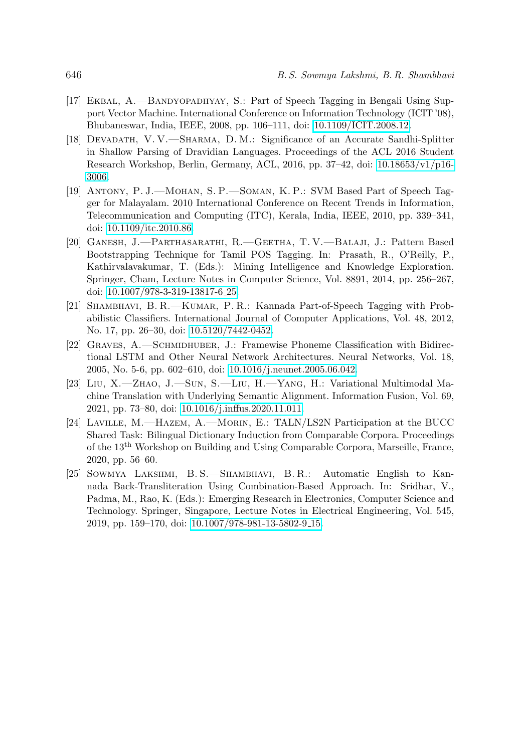- <span id="page-18-0"></span>[17] Ekbal, A.—Bandyopadhyay, S.: Part of Speech Tagging in Bengali Using Support Vector Machine. International Conference on Information Technology (ICIT '08), Bhubaneswar, India, IEEE, 2008, pp. 106–111, doi: [10.1109/ICIT.2008.12.](https://doi.org/10.1109/ICIT.2008.12)
- <span id="page-18-1"></span>[18] Devadath, V. V.—Sharma, D. M.: Significance of an Accurate Sandhi-Splitter in Shallow Parsing of Dravidian Languages. Proceedings of the ACL 2016 Student Research Workshop, Berlin, Germany, ACL, 2016, pp. 37–42, doi: [10.18653/v1/p16-](https://doi.org/10.18653/v1/p16-3006) [3006.](https://doi.org/10.18653/v1/p16-3006)
- <span id="page-18-2"></span>[19] Antony, P. J.—Mohan, S. P.—Soman, K. P.: SVM Based Part of Speech Tagger for Malayalam. 2010 International Conference on Recent Trends in Information, Telecommunication and Computing (ITC), Kerala, India, IEEE, 2010, pp. 339–341, doi: [10.1109/itc.2010.86.](https://doi.org/10.1109/itc.2010.86)
- <span id="page-18-3"></span>[20] Ganesh, J.—Parthasarathi, R.—Geetha, T. V.—Balaji, J.: Pattern Based Bootstrapping Technique for Tamil POS Tagging. In: Prasath, R., O'Reilly, P., Kathirvalavakumar, T. (Eds.): Mining Intelligence and Knowledge Exploration. Springer, Cham, Lecture Notes in Computer Science, Vol. 8891, 2014, pp. 256–267, doi: [10.1007/978-3-319-13817-6](https://doi.org/10.1007/978-3-319-13817-6_25) 25.
- <span id="page-18-4"></span>[21] SHAMBHAVI, B. R.—KUMAR, P. R.: Kannada Part-of-Speech Tagging with Probabilistic Classifiers. International Journal of Computer Applications, Vol. 48, 2012, No. 17, pp. 26–30, doi: [10.5120/7442-0452.](https://doi.org/10.5120/7442-0452)
- <span id="page-18-5"></span>[22] Graves, A.—Schmidhuber, J.: Framewise Phoneme Classification with Bidirectional LSTM and Other Neural Network Architectures. Neural Networks, Vol. 18, 2005, No. 5-6, pp. 602–610, doi: [10.1016/j.neunet.2005.06.042.](https://doi.org/10.1016/j.neunet.2005.06.042)
- <span id="page-18-6"></span>[23] Liu, X.—Zhao, J.—Sun, S.—Liu, H.—Yang, H.: Variational Multimodal Machine Translation with Underlying Semantic Alignment. Information Fusion, Vol. 69, 2021, pp. 73–80, doi: [10.1016/j.inffus.2020.11.011.](https://doi.org/10.1016/j.inffus.2020.11.011)
- <span id="page-18-7"></span>[24] Laville, M.—Hazem, A.—Morin, E.: TALN/LS2N Participation at the BUCC Shared Task: Bilingual Dictionary Induction from Comparable Corpora. Proceedings of the 13th Workshop on Building and Using Comparable Corpora, Marseille, France, 2020, pp. 56–60.
- <span id="page-18-8"></span>[25] Sowmya Lakshmi, B. S.—Shambhavi, B. R.: Automatic English to Kannada Back-Transliteration Using Combination-Based Approach. In: Sridhar, V., Padma, M., Rao, K. (Eds.): Emerging Research in Electronics, Computer Science and Technology. Springer, Singapore, Lecture Notes in Electrical Engineering, Vol. 545, 2019, pp. 159–170, doi: [10.1007/978-981-13-5802-9](https://doi.org/10.1007/978-981-13-5802-9_15) 15.